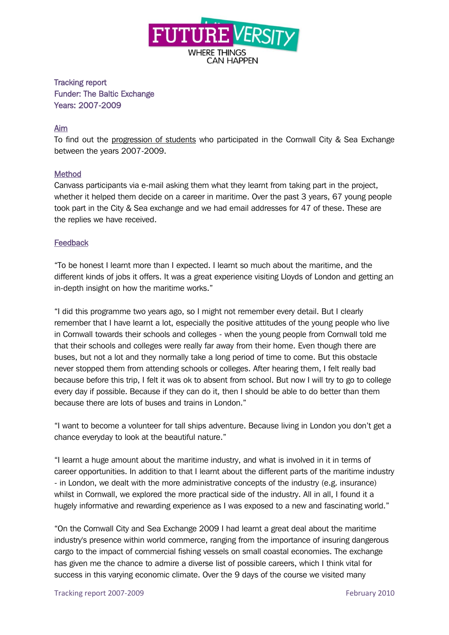

Tracking report Funder: The Baltic Exchange Years: 2007-2009

## Aim

To find out the progression of students who participated in the Cornwall City & Sea Exchange between the years 2007-2009.

## Method

Canvass participants via e-mail asking them what they learnt from taking part in the project, whether it helped them decide on a career in maritime. Over the past 3 years, 67 young people took part in the City & Sea exchange and we had email addresses for 47 of these. These are the replies we have received.

## **Feedback**

"To be honest I learnt more than I expected. I learnt so much about the maritime, and the different kinds of jobs it offers. It was a great experience visiting Lloyds of London and getting an in-depth insight on how the maritime works."

"I did this programme two years ago, so I might not remember every detail. But I clearly remember that I have learnt a lot, especially the positive attitudes of the young people who live in Cornwall towards their schools and colleges - when the young people from Cornwall told me that their schools and colleges were really far away from their home. Even though there are buses, but not a lot and they normally take a long period of time to come. But this obstacle never stopped them from attending schools or colleges. After hearing them, I felt really bad because before this trip, I felt it was ok to absent from school. But now I will try to go to college every day if possible. Because if they can do it, then I should be able to do better than them because there are lots of buses and trains in London."

"I want to become a volunteer for tall ships adventure. Because living in London you don't get a chance everyday to look at the beautiful nature."

"I learnt a huge amount about the maritime industry, and what is involved in it in terms of career opportunities. In addition to that I learnt about the different parts of the maritime industry - in London, we dealt with the more administrative concepts of the industry (e.g. insurance) whilst in Cornwall, we explored the more practical side of the industry. All in all, I found it a hugely informative and rewarding experience as I was exposed to a new and fascinating world."

"On the Cornwall City and Sea Exchange 2009 I had learnt a great deal about the maritime industry's presence within world commerce, ranging from the importance of insuring dangerous cargo to the impact of commercial fishing vessels on small coastal economies. The exchange has given me the chance to admire a diverse list of possible careers, which I think vital for success in this varying economic climate. Over the 9 days of the course we visited many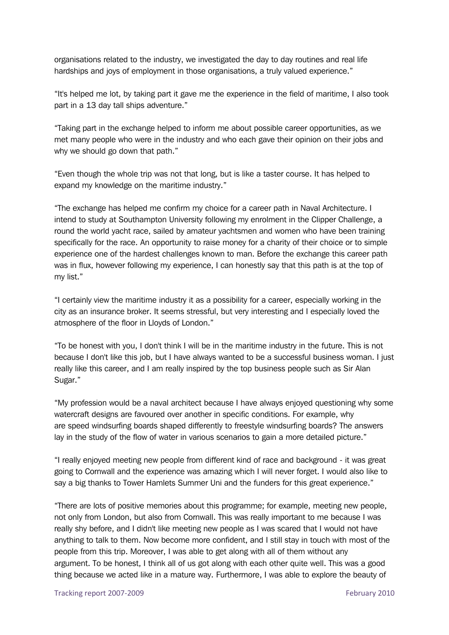organisations related to the industry, we investigated the day to day routines and real life hardships and joys of employment in those organisations, a truly valued experience."

"It's helped me lot, by taking part it gave me the experience in the field of maritime, I also took part in a 13 day tall ships adventure."

"Taking part in the exchange helped to inform me about possible career opportunities, as we met many people who were in the industry and who each gave their opinion on their jobs and why we should go down that path."

"Even though the whole trip was not that long, but is like a taster course. It has helped to expand my knowledge on the maritime industry."

"The exchange has helped me confirm my choice for a career path in Naval Architecture. I intend to study at Southampton University following my enrolment in the Clipper Challenge, a round the world yacht race, sailed by amateur yachtsmen and women who have been training specifically for the race. An opportunity to raise money for a charity of their choice or to simple experience one of the hardest challenges known to man. Before the exchange this career path was in flux, however following my experience, I can honestly say that this path is at the top of my list."

"I certainly view the maritime industry it as a possibility for a career, especially working in the city as an insurance broker. It seems stressful, but very interesting and I especially loved the atmosphere of the floor in Lloyds of London."

"To be honest with you, I don't think I will be in the maritime industry in the future. This is not because I don't like this job, but I have always wanted to be a successful business woman. I just really like this career, and I am really inspired by the top business people such as Sir Alan Sugar."

"My profession would be a naval architect because I have always enjoyed questioning why some watercraft designs are favoured over another in specific conditions. For example, why are speed windsurfing boards shaped differently to freestyle windsurfing boards? The answers lay in the study of the flow of water in various scenarios to gain a more detailed picture."

"I really enjoyed meeting new people from different kind of race and background - it was great going to Cornwall and the experience was amazing which I will never forget. I would also like to say a big thanks to Tower Hamlets Summer Uni and the funders for this great experience."

"There are lots of positive memories about this programme; for example, meeting new people, not only from London, but also from Cornwall. This was really important to me because I was really shy before, and I didn't like meeting new people as I was scared that I would not have anything to talk to them. Now become more confident, and I still stay in touch with most of the people from this trip. Moreover, I was able to get along with all of them without any argument. To be honest, I think all of us got along with each other quite well. This was a good thing because we acted like in a mature way. Furthermore, I was able to explore the beauty of